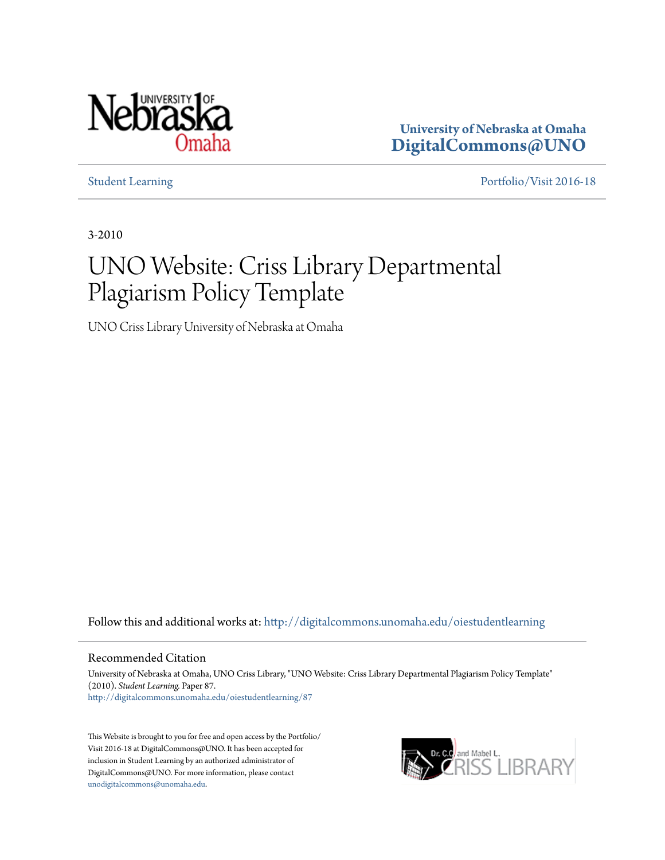

**University of Nebraska at Omaha [DigitalCommons@UNO](http://digitalcommons.unomaha.edu?utm_source=digitalcommons.unomaha.edu%2Foiestudentlearning%2F87&utm_medium=PDF&utm_campaign=PDFCoverPages)**

[Student Learning](http://digitalcommons.unomaha.edu/oiestudentlearning?utm_source=digitalcommons.unomaha.edu%2Foiestudentlearning%2F87&utm_medium=PDF&utm_campaign=PDFCoverPages) [Portfolio/Visit 2016-18](http://digitalcommons.unomaha.edu/oieportfolio?utm_source=digitalcommons.unomaha.edu%2Foiestudentlearning%2F87&utm_medium=PDF&utm_campaign=PDFCoverPages)

3-2010

# UNO Website: Criss Library Departmental Plagiarism Policy Template

UNO Criss Library University of Nebraska at Omaha

Follow this and additional works at: [http://digitalcommons.unomaha.edu/oiestudentlearning](http://digitalcommons.unomaha.edu/oiestudentlearning?utm_source=digitalcommons.unomaha.edu%2Foiestudentlearning%2F87&utm_medium=PDF&utm_campaign=PDFCoverPages)

#### Recommended Citation

University of Nebraska at Omaha, UNO Criss Library, "UNO Website: Criss Library Departmental Plagiarism Policy Template" (2010). *Student Learning.* Paper 87. [http://digitalcommons.unomaha.edu/oiestudentlearning/87](http://digitalcommons.unomaha.edu/oiestudentlearning/87?utm_source=digitalcommons.unomaha.edu%2Foiestudentlearning%2F87&utm_medium=PDF&utm_campaign=PDFCoverPages)

This Website is brought to you for free and open access by the Portfolio/ Visit 2016-18 at DigitalCommons@UNO. It has been accepted for inclusion in Student Learning by an authorized administrator of DigitalCommons@UNO. For more information, please contact [unodigitalcommons@unomaha.edu](mailto:unodigitalcommons@unomaha.edu).

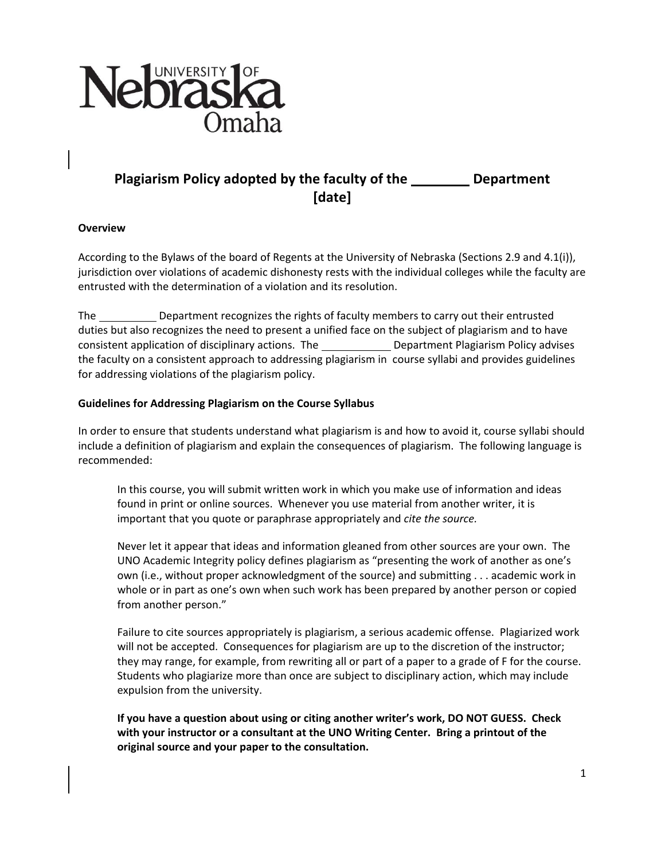

## **Plagiarism Policy adopted by the faculty of the Department [date]**

#### **Overview**

According to the Bylaws of the board of Regents at the University of Nebraska (Sections 2.9 and 4.1(i)), jurisdiction over violations of academic dishonesty rests with the individual colleges while the faculty are entrusted with the determination of a violation and its resolution.

The Department recognizes the rights of faculty members to carry out their entrusted duties but also recognizes the need to present a unified face on the subject of plagiarism and to have consistent application of disciplinary actions. The Department Plagiarism Policy advises the faculty on a consistent approach to addressing plagiarism in course syllabi and provides guidelines for addressing violations of the plagiarism policy.

### **Guidelines for Addressing Plagiarism on the Course Syllabus**

In order to ensure that students understand what plagiarism is and how to avoid it, course syllabi should include a definition of plagiarism and explain the consequences of plagiarism. The following language is recommended:

In this course, you will submit written work in which you make use of information and ideas found in print or online sources. Whenever you use material from another writer, it is important that you quote or paraphrase appropriately and *cite the source.*

Never let it appear that ideas and information gleaned from other sources are your own. The UNO Academic Integrity policy defines plagiarism as "presenting the work of another as one's own (i.e., without proper acknowledgment of the source) and submitting . . . academic work in whole or in part as one's own when such work has been prepared by another person or copied from another person."

Failure to cite sources appropriately is plagiarism, a serious academic offense. Plagiarized work will not be accepted. Consequences for plagiarism are up to the discretion of the instructor; they may range, for example, from rewriting all or part of a paper to a grade of F for the course. Students who plagiarize more than once are subject to disciplinary action, which may include expulsion from the university.

**If you have a question about using or citing another writer's work, DO NOT GUESS. Check with your instructor or a consultant at the UNO Writing Center. Bring a printout of the original source and your paper to the consultation.**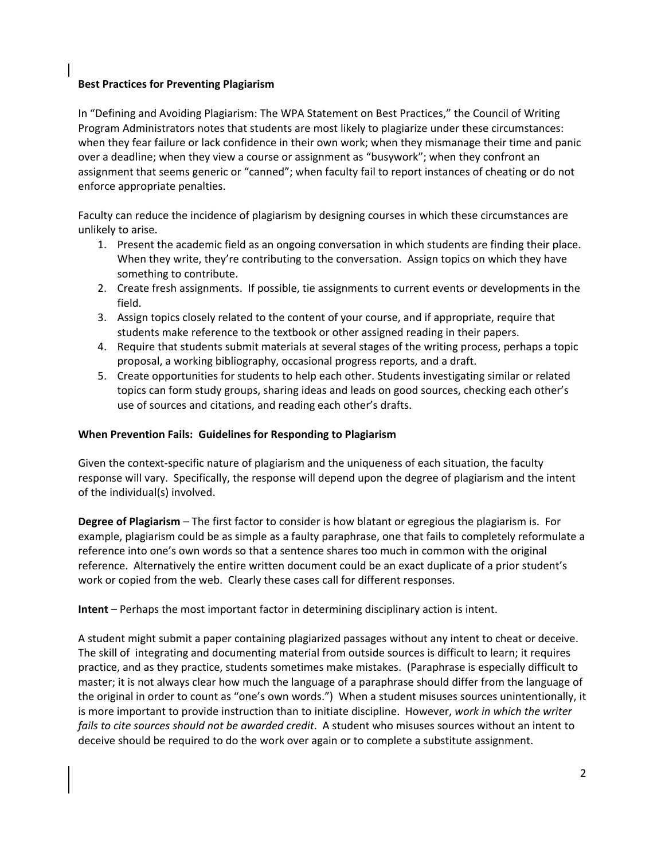### **Best Practices for Preventing Plagiarism**

In "Defining and Avoiding Plagiarism: The WPA Statement on Best Practices," the Council of Writing Program Administrators notes that students are most likely to plagiarize under these circumstances: when they fear failure or lack confidence in their own work; when they mismanage their time and panic over a deadline; when they view a course or assignment as "busywork"; when they confront an assignment that seems generic or "canned"; when faculty fail to report instances of cheating or do not enforce appropriate penalties.

Faculty can reduce the incidence of plagiarism by designing courses in which these circumstances are unlikely to arise.

- 1. Present the academic field as an ongoing conversation in which students are finding their place. When they write, they're contributing to the conversation. Assign topics on which they have something to contribute.
- 2. Create fresh assignments. If possible, tie assignments to current events or developments in the field.
- 3. Assign topics closely related to the content of your course, and if appropriate, require that students make reference to the textbook or other assigned reading in their papers.
- 4. Require that students submit materials at several stages of the writing process, perhaps a topic proposal, a working bibliography, occasional progress reports, and a draft.
- 5. Create opportunities for students to help each other. Students investigating similar or related topics can form study groups, sharing ideas and leads on good sources, checking each other's use of sources and citations, and reading each other's drafts.

#### **When Prevention Fails: Guidelines for Responding to Plagiarism**

Given the context-specific nature of plagiarism and the uniqueness of each situation, the faculty response will vary. Specifically, the response will depend upon the degree of plagiarism and the intent of the individual(s) involved.

**Degree of Plagiarism** – The first factor to consider is how blatant or egregious the plagiarism is. For example, plagiarism could be as simple as a faulty paraphrase, one that fails to completely reformulate a reference into one's own words so that a sentence shares too much in common with the original reference. Alternatively the entire written document could be an exact duplicate of a prior student's work or copied from the web. Clearly these cases call for different responses.

**Intent** – Perhaps the most important factor in determining disciplinary action is intent.

A student might submit a paper containing plagiarized passages without any intent to cheat or deceive. The skill of integrating and documenting material from outside sources is difficult to learn; it requires practice, and as they practice, students sometimes make mistakes. (Paraphrase is especially difficult to master; it is not always clear how much the language of a paraphrase should differ from the language of the original in order to count as "one's own words.") When a student misuses sources unintentionally, it is more important to provide instruction than to initiate discipline. However, *work in which the writer fails to cite sources should not be awarded credit*. A student who misuses sources without an intent to deceive should be required to do the work over again or to complete a substitute assignment.